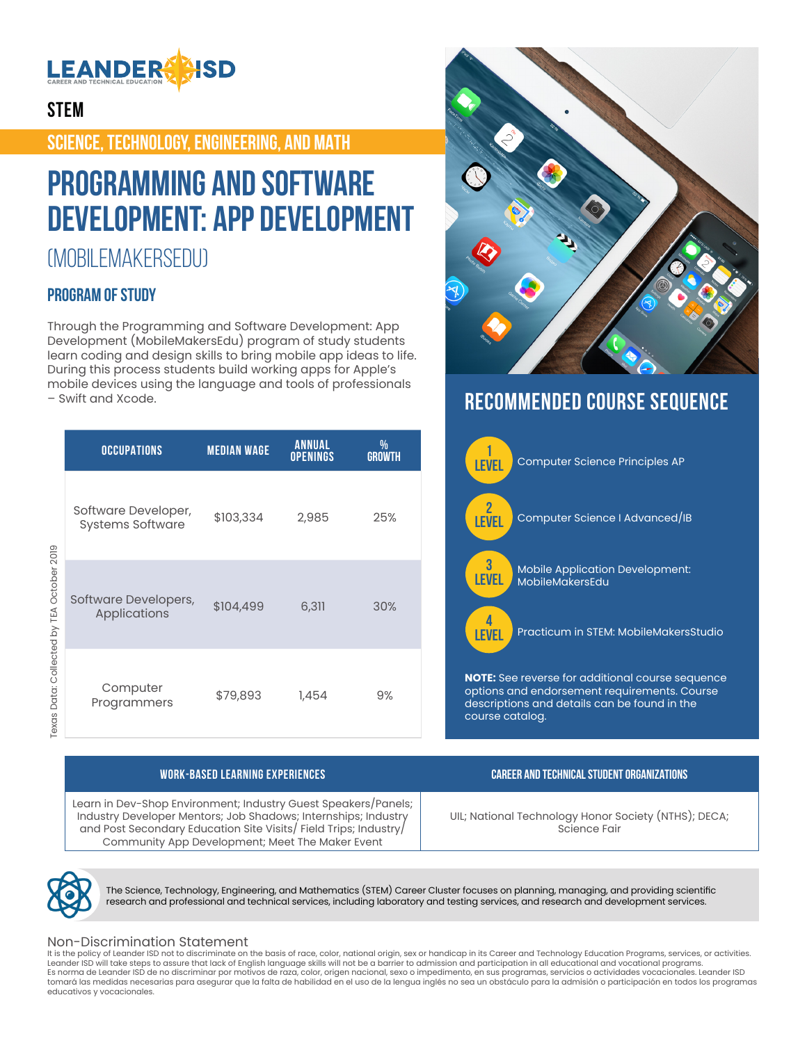

## **STEM**

**SCIENCE, TECHNOLOGY, ENGINEERING, AND MATH**

## **Programming and Software Development: App Development**

## (MOBILEMAKERSEDU)

### **PROGRAM OF STUDY**

Through the Programming and Software Development: App Development (MobileMakersEdu) program of study students learn coding and design skills to bring mobile app ideas to life. During this process students build working apps for Apple's mobile devices using the language and tools of professionals – Swift and Xcode.

|                                           | <b>OCCUPATIONS</b>                             | <b>MEDIAN WAGE</b> | <b>ANNUAL</b><br><b>OPENINGS</b> | %<br><b>GROWTH</b> |
|-------------------------------------------|------------------------------------------------|--------------------|----------------------------------|--------------------|
| Texas Data: Collected by TEA October 2019 | Software Developer,<br><b>Systems Software</b> | \$103,334          | 2,985                            | 25%                |
|                                           | Software Developers,<br>Applications           | \$104,499          | 6,311                            | 30%                |
|                                           | Computer<br>Programmers                        | \$79,893           | 1,454                            | 9%                 |



## **RECOMMENDED COURSE SEQUENCE**



Ř,

Learn in Dev-Shop Environment; Industry Guest Speakers/Panels; Industry Developer Mentors; Job Shadows; Internships; Industry and Post Secondary Education Site Visits/ Field Trips; Industry/ Community App Development; Meet The Maker Event

**WORK-BASED LEARNING EXPERIENCES CAREER AND TECHNICAL STUDENT ORGANIZATIONS**

UIL; National Technology Honor Society (NTHS); DECA; Science Fair



The Science, Technology, Engineering, and Mathematics (STEM) Career Cluster focuses on planning, managing, and providing scientific research and professional and technical services, including laboratory and testing services, and research and development services.

#### Non-Discrimination Statement

It is the policy of Leander ISD not to discriminate on the basis of race, color, national origin, sex or handicap in its Career and Technology Education Programs, services, or activities. Leander ISD will take steps to assure that lack of English language skills will not be a barrier to admission and participation in all educational and vocational programs. Es norma de Leander ISD de no discriminar por motivos de raza, color, origen nacional, sexo o impedimento, en sus programas, servicios o actividades vocacionales. Leander ISD tomará las medidas necesarias para asegurar que la falta de habilidad en el uso de la lengua inglés no sea un obstáculo para la admisión o participación en todos los programas educativos y vocacionales.